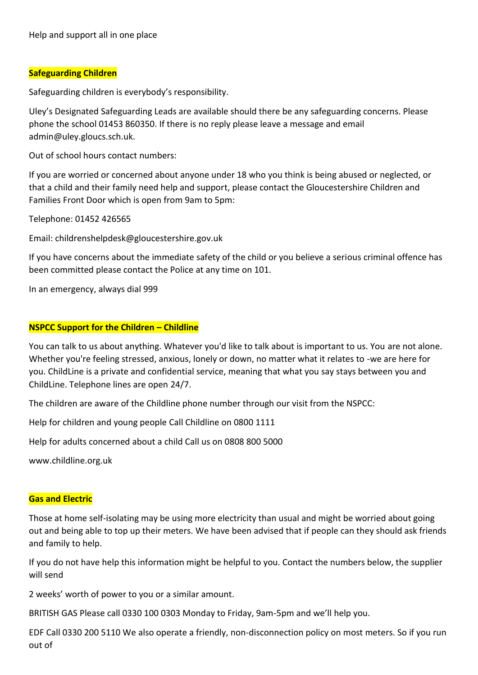# **Safeguarding Children**

Safeguarding children is everybody's responsibility.

Uley's Designated Safeguarding Leads are available should there be any safeguarding concerns. Please phone the school 01453 860350. If there is no reply please leave a message and email admin@uley.gloucs.sch.uk.

Out of school hours contact numbers:

If you are worried or concerned about anyone under 18 who you think is being abused or neglected, or that a child and their family need help and support, please contact the Gloucestershire Children and Families Front Door which is open from 9am to 5pm:

Telephone: 01452 426565

Email: childrenshelpdesk@gloucestershire.gov.uk

If you have concerns about the immediate safety of the child or you believe a serious criminal offence has been committed please contact the Police at any time on 101.

In an emergency, always dial 999

#### **NSPCC Support for the Children – Childline**

You can talk to us about anything. Whatever you'd like to talk about is important to us. You are not alone. Whether you're feeling stressed, anxious, lonely or down, no matter what it relates to -we are here for you. ChildLine is a private and confidential service, meaning that what you say stays between you and ChildLine. Telephone lines are open 24/7.

The children are aware of the Childline phone number through our visit from the NSPCC:

Help for children and young people Call Childline on 0800 1111

Help for adults concerned about a child Call us on 0808 800 5000

www.childline.org.uk

#### **Gas and Electric**

Those at home self-isolating may be using more electricity than usual and might be worried about going out and being able to top up their meters. We have been advised that if people can they should ask friends and family to help.

If you do not have help this information might be helpful to you. Contact the numbers below, the supplier will send

2 weeks' worth of power to you or a similar amount.

BRITISH GAS Please call 0330 100 0303 Monday to Friday, 9am-5pm and we'll help you.

EDF Call 0330 200 5110 We also operate a friendly, non-disconnection policy on most meters. So if you run out of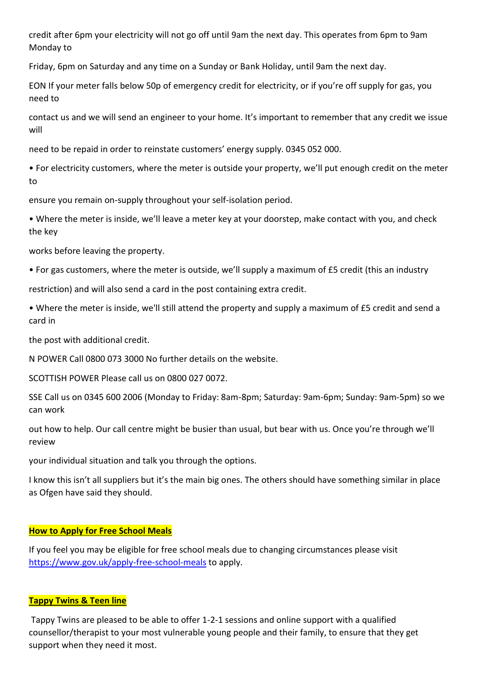credit after 6pm your electricity will not go off until 9am the next day. This operates from 6pm to 9am Monday to

Friday, 6pm on Saturday and any time on a Sunday or Bank Holiday, until 9am the next day.

EON If your meter falls below 50p of emergency credit for electricity, or if you're off supply for gas, you need to

contact us and we will send an engineer to your home. It's important to remember that any credit we issue will

need to be repaid in order to reinstate customers' energy supply. 0345 052 000.

• For electricity customers, where the meter is outside your property, we'll put enough credit on the meter to

ensure you remain on-supply throughout your self-isolation period.

• Where the meter is inside, we'll leave a meter key at your doorstep, make contact with you, and check the key

works before leaving the property.

• For gas customers, where the meter is outside, we'll supply a maximum of £5 credit (this an industry

restriction) and will also send a card in the post containing extra credit.

• Where the meter is inside, we'll still attend the property and supply a maximum of £5 credit and send a card in

the post with additional credit.

N POWER Call 0800 073 3000 No further details on the website.

SCOTTISH POWER Please call us on 0800 027 0072.

SSE Call us on 0345 600 2006 (Monday to Friday: 8am-8pm; Saturday: 9am-6pm; Sunday: 9am-5pm) so we can work

out how to help. Our call centre might be busier than usual, but bear with us. Once you're through we'll review

your individual situation and talk you through the options.

I know this isn't all suppliers but it's the main big ones. The others should have something similar in place as Ofgen have said they should.

# **How to Apply for Free School Meals**

If you feel you may be eligible for free school meals due to changing circumstances please visit <https://www.gov.uk/apply-free-school-meals> to apply.

#### **Tappy Twins & Teen line**

Tappy Twins are pleased to be able to offer 1-2-1 sessions and online support with a qualified counsellor/therapist to your most vulnerable young people and their family, to ensure that they get support when they need it most.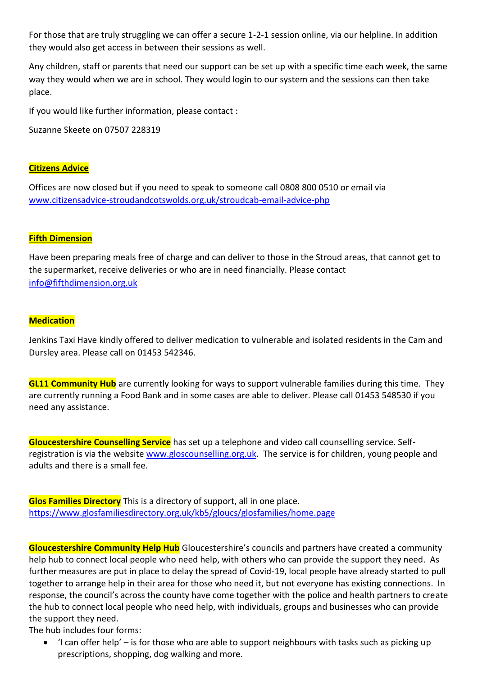For those that are truly struggling we can offer a secure 1-2-1 session online, via our helpline. In addition they would also get access in between their sessions as well.

Any children, staff or parents that need our support can be set up with a specific time each week, the same way they would when we are in school. They would login to our system and the sessions can then take place.

If you would like further information, please contact :

Suzanne Skeete on 07507 228319

#### **Citizens Advice**

Offices are now closed but if you need to speak to someone call 0808 800 0510 or email via [www.citizensadvice-stroudandcotswolds.org.uk/stroudcab-email-advice-php](http://www.citizensadvice-stroudandcotswolds.org.uk/stroudcab-email-advice-php)

# **Fifth Dimension**

Have been preparing meals free of charge and can deliver to those in the Stroud areas, that cannot get to the supermarket, receive deliveries or who are in need financially. Please contact [info@fifthdimension.org.uk](mailto:info@fifthdimension.org.uk)

#### **Medication**

Jenkins Taxi Have kindly offered to deliver medication to vulnerable and isolated residents in the Cam and Dursley area. Please call on 01453 542346.

**GL11 Community Hub** are currently looking for ways to support vulnerable families during this time. They are currently running a Food Bank and in some cases are able to deliver. Please call 01453 548530 if you need any assistance.

**Gloucestershire Counselling Service** has set up a telephone and video call counselling service. Selfregistration is via the website [www.gloscounselling.org.uk.](http://www.gloscounselling.org.uk/) The service is for children, young people and adults and there is a small fee.

**Glos Families Directory** This is a directory of support, all in one place. <https://www.glosfamiliesdirectory.org.uk/kb5/gloucs/glosfamilies/home.page>

**Gloucestershire Community Help Hub** Gloucestershire's councils and partners have created a community help hub to connect local people who need help, with others who can provide the support they need. As further measures are put in place to delay the spread of Covid-19, local people have already started to pull together to arrange help in their area for those who need it, but not everyone has existing connections. In response, the council's across the county have come together with the police and health partners to create the hub to connect local people who need help, with individuals, groups and businesses who can provide the support they need.

The hub includes four forms:

 'I can offer help' – is for those who are able to support neighbours with tasks such as picking up prescriptions, shopping, dog walking and more.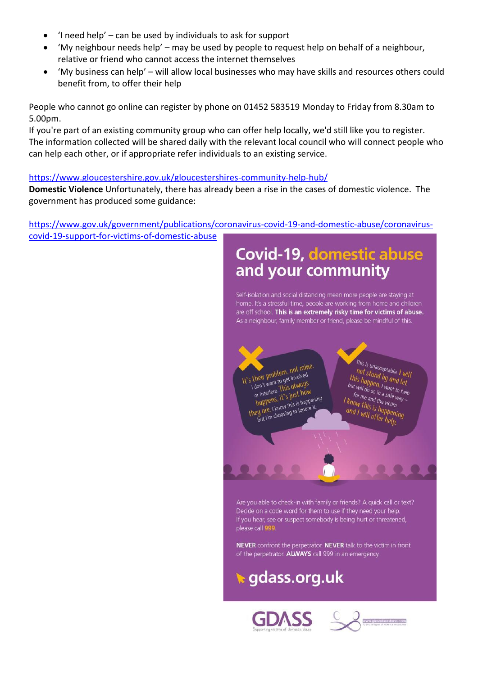- 'I need help' can be used by individuals to ask for support
- 'My neighbour needs help' may be used by people to request help on behalf of a neighbour, relative or friend who cannot access the internet themselves
- 'My business can help' will allow local businesses who may have skills and resources others could benefit from, to offer their help

People who cannot go online can register by phone on 01452 583519 Monday to Friday from 8.30am to 5.00pm.

If you're part of an existing community group who can offer help locally, we'd still like you to register. The information collected will be shared daily with the relevant local council who will connect people who can help each other, or if appropriate refer individuals to an existing service.

#### <https://www.gloucestershire.gov.uk/gloucestershires-community-help-hub/>

**Domestic Violence** Unfortunately, there has already been a rise in the cases of domestic violence. The government has produced some guidance:

[https://www.gov.uk/government/publications/coronavirus-covid-19-and-domestic-abuse/coronavirus](https://www.gov.uk/government/publications/coronavirus-covid-19-and-domestic-abuse/coronavirus-covid-19-support-for-victims-of-domestic-abuse)[covid-19-support-for-victims-of-domestic-abuse](https://www.gov.uk/government/publications/coronavirus-covid-19-and-domestic-abuse/coronavirus-covid-19-support-for-victims-of-domestic-abuse)

# **Covid-19, domestic abuse** and your community

Self-isolation and social distancing mean more people are staving at home. It's a stressful time, people are working from home and children are off school. This is an extremely risky time for victims of abuse. As a neighbour, family member or friend, please be mindful of this.

It's their problem, not mine. their problem, not the<br>I don't want to get involved<br>I don't want to get involved I don't want to get involved<br>I don't want to get involved<br>or interfere. This glust how don't wall.<br>or interfere. This glust how<br>happens, it's just how or intensive. it's just now<br>happens, it's just nowening<br>they are, I know this is happening hupper<br>but I'm choosing to ignore it.

This is unacceptable. 1 will<br>not stand by ond will not stand by and let<br>is happen. I will<br>is happen. I want. This happen, I will<br>but will do so in a safe way.<br>but will do so in a safe way.<br>for me and y a safe way. out will do so in a safe way<br>for me and to safe way<br>for me and the victime<br>know the de victime for me and the victim.<br>Tor me and the victim.<br>Now this is home for me and the victim.<br>I know this is happening<br>and I will offer help and I will offer help.<br>And I will offer help.

Are you able to check-in with family or friends? A quick call or text? Decide on a code word for them to use if they need your help. If you hear, see or suspect somebody is being hurt or threatened, please call 999.

NEVER confront the perpetrator. NEVER talk to the victim in front of the perpetrator. ALWAYS call 999 in an emergency.

# **▶ gdass.org.uk**



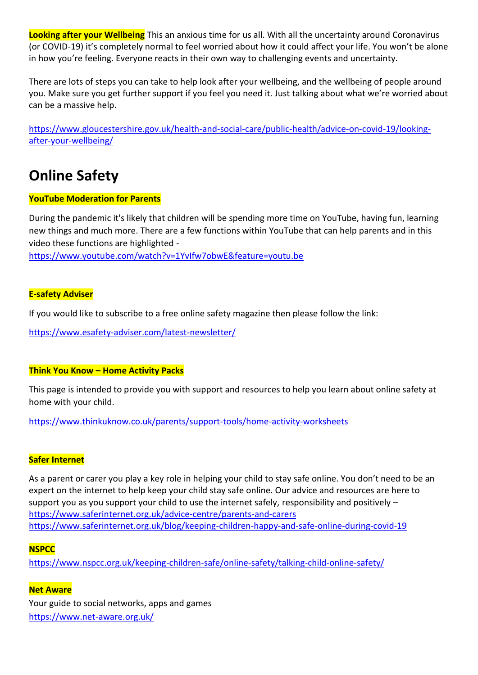**Looking after your Wellbeing** This an anxious time for us all. With all the uncertainty around Coronavirus (or COVID-19) it's completely normal to feel worried about how it could affect your life. You won't be alone in how you're feeling. Everyone reacts in their own way to challenging events and uncertainty.

There are lots of steps you can take to help look after your wellbeing, and the wellbeing of people around you. Make sure you get further support if you feel you need it. Just talking about what we're worried about can be a massive help.

[https://www.gloucestershire.gov.uk/health-and-social-care/public-health/advice-on-covid-19/looking](https://www.gloucestershire.gov.uk/health-and-social-care/public-health/advice-on-covid-19/looking-after-your-wellbeing/)[after-your-wellbeing/](https://www.gloucestershire.gov.uk/health-and-social-care/public-health/advice-on-covid-19/looking-after-your-wellbeing/)

# **Online Safety**

# **YouTube Moderation for Parents**

During the pandemic it's likely that children will be spending more time on YouTube, having fun, learning new things and much more. There are a few functions within YouTube that can help parents and in this video these functions are highlighted -

<https://www.youtube.com/watch?v=1YvIfw7obwE&feature=youtu.be>

# **E-safety Adviser**

If you would like to subscribe to a free online safety magazine then please follow the link:

<https://www.esafety-adviser.com/latest-newsletter/>

# **Think You Know – Home Activity Packs**

This page is intended to provide you with support and resources to help you learn about online safety at home with your child.

<https://www.thinkuknow.co.uk/parents/support-tools/home-activity-worksheets>

# **Safer Internet**

As a parent or carer you play a key role in helping your child to stay safe online. You don't need to be an expert on the internet to help keep your child stay safe online. Our advice and resources are here to support you as you support your child to use the internet safely, responsibility and positively – <https://www.saferinternet.org.uk/advice-centre/parents-and-carers> <https://www.saferinternet.org.uk/blog/keeping-children-happy-and-safe-online-during-covid-19>

# **NSPCC**

<https://www.nspcc.org.uk/keeping-children-safe/online-safety/talking-child-online-safety/>

# **Net Aware**

Your guide to social networks, apps and games <https://www.net-aware.org.uk/>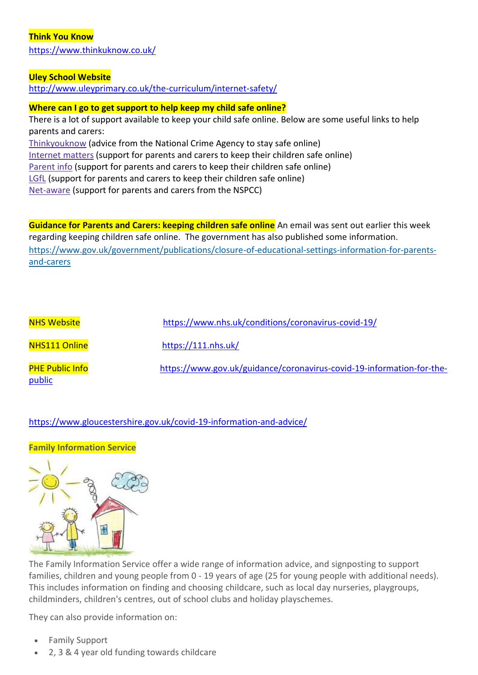#### **Think You Know**

<https://www.thinkuknow.co.uk/>

#### **Uley School Website**

<http://www.uleyprimary.co.uk/the-curriculum/internet-safety/>

#### **Where can I go to get support to help keep my child safe online?**

There is a lot of support available to keep your child safe online. Below are some useful links to help parents and carers: [Thinkyouknow](https://www.thinkuknow.co.uk/) (advice from the National Crime Agency to stay safe online) [Internet](https://www.internetmatters.org/?gclid=EAIaIQobChMIktuA5LWK2wIVRYXVCh2afg2aEAAYASAAEgIJ5vD_BwE) matters (support for parents and carers to keep their children safe online) [Parent](https://parentinfo.org/) info (support for parents and carers to keep their children safe online) [LGfL](https://www.lgfl.net/online-safety/default.aspx) (support for parents and carers to keep their children safe online) [Net-aware](https://www.net-aware.org.uk/) (support for parents and carers from the NSPCC)

**Guidance for Parents and Carers: keeping children safe online** An email was sent out earlier this week regarding keeping children safe online. The government has also published some information. [https://www.gov.uk/government/publications/closure-of-educational-settings-information-for-parents](https://www.gov.uk/government/publications/closure-of-educational-settings-information-for-parents-and-carers)[and-carers](https://www.gov.uk/government/publications/closure-of-educational-settings-information-for-parents-and-carers)

| <b>NHS Website</b>               | https://www.nhs.uk/conditions/coronavirus-covid-19/                   |
|----------------------------------|-----------------------------------------------------------------------|
| NHS111 Online                    | https://111.nhs.uk/                                                   |
| <b>PHE Public Info</b><br>public | https://www.gov.uk/guidance/coronavirus-covid-19-information-for-the- |

# <https://www.gloucestershire.gov.uk/covid-19-information-and-advice/>

# **Family Information Service**



The Family Information Service offer a wide range of information advice, and signposting to support families, children and young people from 0 - 19 years of age (25 for young people with additional needs). This includes information on finding and choosing childcare, such as local day nurseries, playgroups, childminders, children's centres, out of school clubs and holiday playschemes.

They can also provide information on:

- Family Support
- 2, 3 & 4 year old funding towards childcare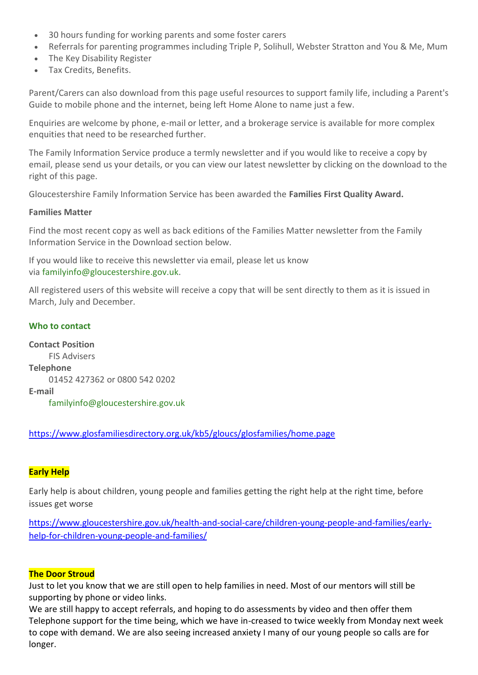- 30 hours funding for working parents and some foster carers
- Referrals for parenting programmes including Triple P, Solihull, Webster Stratton and You & Me, Mum
- The Key Disability Register
- Tax Credits, Benefits.

Parent/Carers can also download from this page useful resources to support family life, including a Parent's Guide to mobile phone and the internet, being left Home Alone to name just a few.

Enquiries are welcome by phone, e-mail or letter, and a brokerage service is available for more complex enquities that need to be researched further.

The Family Information Service produce a termly newsletter and if you would like to receive a copy by email, please send us your details, or you can view our latest newsletter by clicking on the download to the right of this page.

Gloucestershire Family Information Service has been awarded the **Families First Quality Award.**

#### **Families Matter**

Find the most recent copy as well as back editions of the Families Matter newsletter from the Family Information Service in the Download section below.

If you would like to receive this newsletter via email, please let us know via [familyinfo@gloucestershire.gov.uk.](mailto:familyinfo@gloucestershire.gov.uk)

All registered users of this website will receive a copy that will be sent directly to them as it is issued in March, July and December.

# **[Who to contact](https://www.glosfamiliesdirectory.org.uk/kb5/gloucs/glosfamilies/service.page?id=1Yb8skz9bTg#service_contact)**

**Contact Position** FIS Advisers **Telephone** 01452 427362 or 0800 542 0202 **E-mail** [familyinfo@gloucestershire.gov.uk](mailto:familyinfo@gloucestershire.gov.uk)

<https://www.glosfamiliesdirectory.org.uk/kb5/gloucs/glosfamilies/home.page>

# **Early Help**

Early help is about children, young people and families getting the right help at the right time, before issues get worse

[https://www.gloucestershire.gov.uk/health-and-social-care/children-young-people-and-families/early](https://www.gloucestershire.gov.uk/health-and-social-care/children-young-people-and-families/early-help-for-children-young-people-and-families/)[help-for-children-young-people-and-families/](https://www.gloucestershire.gov.uk/health-and-social-care/children-young-people-and-families/early-help-for-children-young-people-and-families/)

# **The Door Stroud**

Just to let you know that we are still open to help families in need. Most of our mentors will still be supporting by phone or video links.

We are still happy to accept referrals, and hoping to do assessments by video and then offer them Telephone support for the time being, which we have in-creased to twice weekly from Monday next week to cope with demand. We are also seeing increased anxiety I many of our young people so calls are for longer.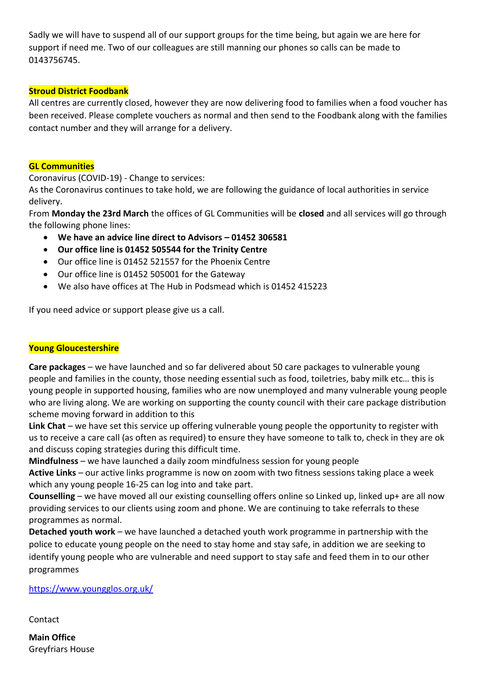Sadly we will have to suspend all of our support groups for the time being, but again we are here for support if need me. Two of our colleagues are still manning our phones so calls can be made to 0143756745.

# **Stroud District Foodbank**

All centres are currently closed, however they are now delivering food to families when a food voucher has been received. Please complete vouchers as normal and then send to the Foodbank along with the families contact number and they will arrange for a delivery.

#### **GL Communities**

Coronavirus (COVID-19) - Change to services:

As the Coronavirus continues to take hold, we are following the guidance of local authorities in service delivery.

From **Monday the 23rd March** the offices of GL Communities will be **closed** and all services will go through the following phone lines:

- **We have an advice line direct to Advisors – 01452 306581**
- **Our office line is 01452 505544 for the Trinity Centre**
- Our office line is 01452 521557 for the Phoenix Centre
- Our office line is 01452 505001 for the Gateway
- We also have offices at The Hub in Podsmead which is 01452 415223

If you need advice or support please give us a call.

# **Young Gloucestershire**

**Care packages** – we have launched and so far delivered about 50 care packages to vulnerable young people and families in the county, those needing essential such as food, toiletries, baby milk etc… this is young people in supported housing, families who are now unemployed and many vulnerable young people who are living along. We are working on supporting the county council with their care package distribution scheme moving forward in addition to this

Link Chat – we have set this service up offering vulnerable young people the opportunity to register with us to receive a care call (as often as required) to ensure they have someone to talk to, check in they are ok and discuss coping strategies during this difficult time.

**Mindfulness** – we have launched a daily zoom mindfulness session for young people

**Active Links** – our active links programme is now on zoom with two fitness sessions taking place a week which any young people 16-25 can log into and take part.

**Counselling** – we have moved all our existing counselling offers online so Linked up, linked up+ are all now providing services to our clients using zoom and phone. We are continuing to take referrals to these programmes as normal.

**Detached youth work** – we have launched a detached youth work programme in partnership with the police to educate young people on the need to stay home and stay safe, in addition we are seeking to identify young people who are vulnerable and need support to stay safe and feed them in to our other programmes

#### <https://www.youngglos.org.uk/>

Contact

**Main Office** Greyfriars House